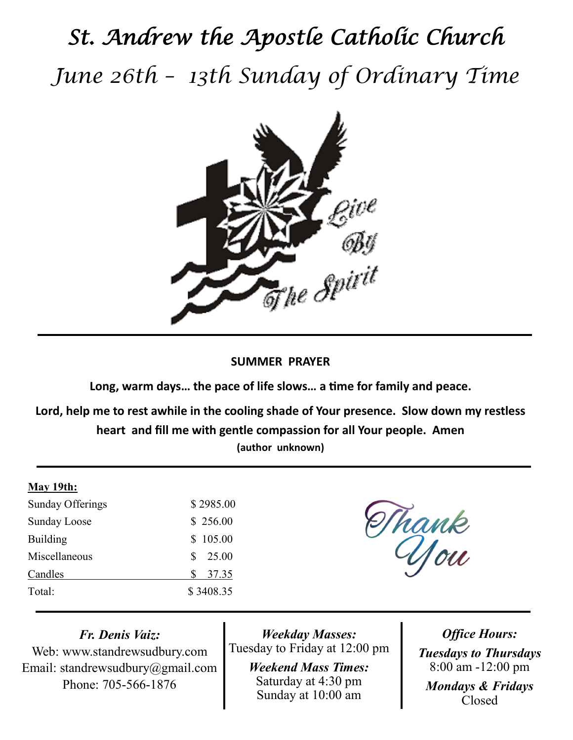# *St. Andrew the Apostle Catholic Church June 26th – 13th Sunday of Ordinary Time*



## **SUMMER PRAYER**

**Long, warm days… the pace of life slows… a time for family and peace.**

**Lord, help me to rest awhile in the cooling shade of Your presence. Slow down my restless heart and fill me with gentle compassion for all Your people. Amen (author unknown)**

#### **May 19th:**

| Sunday Offerings    | \$2985.00  |
|---------------------|------------|
| <b>Sunday Loose</b> | \$256.00   |
| <b>Building</b>     | \$105.00   |
| Miscellaneous       | 25.00<br>S |
| Candles             | 37.35<br>S |
| Total:              | \$3408.35  |

Thank

*Fr. Denis Vaiz:*

Web: www.standrewsudbury.com Email: standrewsudbury@gmail.com Phone: 705-566-1876

*Weekday Masses:* Tuesday to Friday at 12:00 pm

> *Weekend Mass Times:*  Saturday at 4:30 pm Sunday at 10:00 am

*Office Hours: Tuesdays to Thursdays* 8:00 am -12:00 pm *Mondays & Fridays* Closed